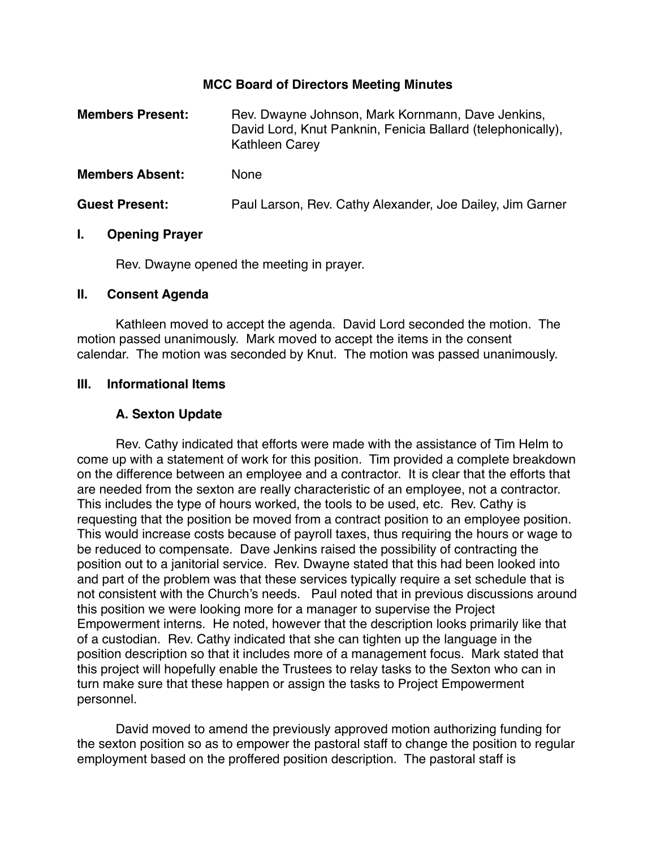#### **MCC Board of Directors Meeting Minutes**

| <b>Members Present:</b> | Rev. Dwayne Johnson, Mark Kornmann, Dave Jenkins,<br>David Lord, Knut Panknin, Fenicia Ballard (telephonically),<br><b>Kathleen Carey</b> |
|-------------------------|-------------------------------------------------------------------------------------------------------------------------------------------|
| <b>Members Absent:</b>  | <b>None</b>                                                                                                                               |
| <b>Guest Present:</b>   | Paul Larson, Rev. Cathy Alexander, Joe Dailey, Jim Garner                                                                                 |

#### **I. Opening Prayer**

Rev. Dwayne opened the meeting in prayer.

#### **II. Consent Agenda**

Kathleen moved to accept the agenda. David Lord seconded the motion. The motion passed unanimously. Mark moved to accept the items in the consent calendar. The motion was seconded by Knut. The motion was passed unanimously.

#### **III. Informational Items**

### **A. Sexton Update**

Rev. Cathy indicated that efforts were made with the assistance of Tim Helm to come up with a statement of work for this position. Tim provided a complete breakdown on the difference between an employee and a contractor. It is clear that the efforts that are needed from the sexton are really characteristic of an employee, not a contractor. This includes the type of hours worked, the tools to be used, etc. Rev. Cathy is requesting that the position be moved from a contract position to an employee position. This would increase costs because of payroll taxes, thus requiring the hours or wage to be reduced to compensate. Dave Jenkins raised the possibility of contracting the position out to a janitorial service. Rev. Dwayne stated that this had been looked into and part of the problem was that these services typically require a set schedule that is not consistent with the Church's needs. Paul noted that in previous discussions around this position we were looking more for a manager to supervise the Project Empowerment interns. He noted, however that the description looks primarily like that of a custodian. Rev. Cathy indicated that she can tighten up the language in the position description so that it includes more of a management focus. Mark stated that this project will hopefully enable the Trustees to relay tasks to the Sexton who can in turn make sure that these happen or assign the tasks to Project Empowerment personnel.

David moved to amend the previously approved motion authorizing funding for the sexton position so as to empower the pastoral staff to change the position to regular employment based on the proffered position description. The pastoral staff is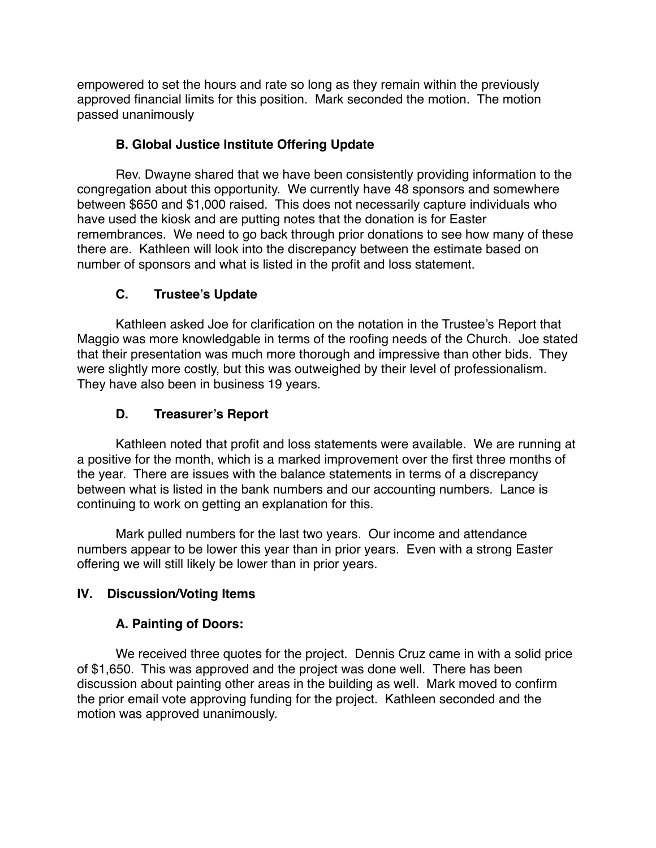empowered to set the hours and rate so long as they remain within the previously approved financial limits for this position. Mark seconded the motion. The motion passed unanimously

## **B. Global Justice Institute Offering Update**

Rev. Dwayne shared that we have been consistently providing information to the congregation about this opportunity. We currently have 48 sponsors and somewhere between \$650 and \$1,000 raised. This does not necessarily capture individuals who have used the kiosk and are putting notes that the donation is for Easter remembrances. We need to go back through prior donations to see how many of these there are. Kathleen will look into the discrepancy between the estimate based on number of sponsors and what is listed in the profit and loss statement.

# **C. Trustee's Update**

Kathleen asked Joe for clarification on the notation in the Trustee's Report that Maggio was more knowledgable in terms of the roofing needs of the Church. Joe stated that their presentation was much more thorough and impressive than other bids. They were slightly more costly, but this was outweighed by their level of professionalism. They have also been in business 19 years.

# **D. Treasurer's Report**

Kathleen noted that profit and loss statements were available. We are running at a positive for the month, which is a marked improvement over the first three months of the year. There are issues with the balance statements in terms of a discrepancy between what is listed in the bank numbers and our accounting numbers. Lance is continuing to work on getting an explanation for this.

Mark pulled numbers for the last two years. Our income and attendance numbers appear to be lower this year than in prior years. Even with a strong Easter offering we will still likely be lower than in prior years.

## **IV. Discussion/Voting Items**

## **A. Painting of Doors:**

We received three quotes for the project. Dennis Cruz came in with a solid price of \$1,650. This was approved and the project was done well. There has been discussion about painting other areas in the building as well. Mark moved to confirm the prior email vote approving funding for the project. Kathleen seconded and the motion was approved unanimously.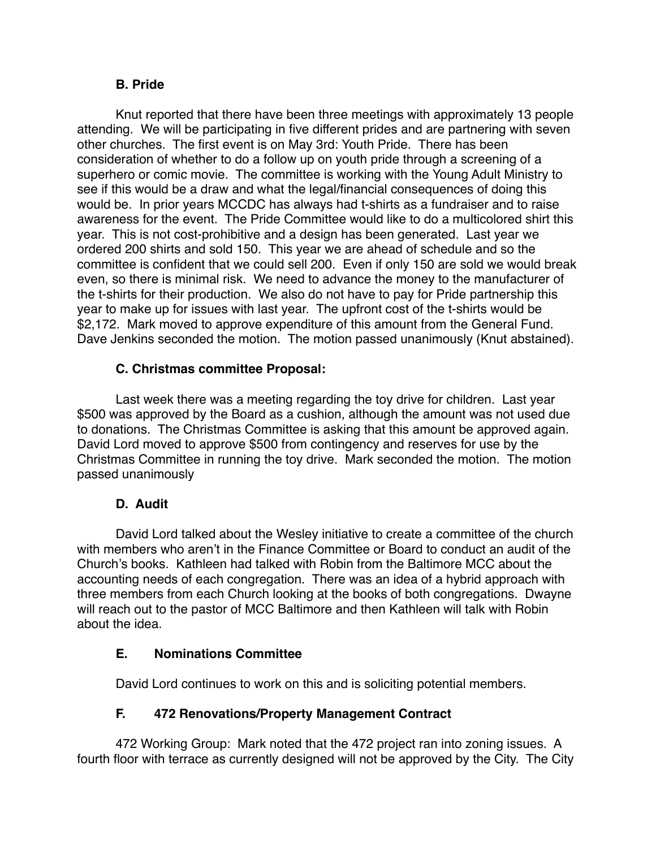### **B. Pride**

Knut reported that there have been three meetings with approximately 13 people attending. We will be participating in five different prides and are partnering with seven other churches. The first event is on May 3rd: Youth Pride. There has been consideration of whether to do a follow up on youth pride through a screening of a superhero or comic movie. The committee is working with the Young Adult Ministry to see if this would be a draw and what the legal/financial consequences of doing this would be. In prior years MCCDC has always had t-shirts as a fundraiser and to raise awareness for the event. The Pride Committee would like to do a multicolored shirt this year. This is not cost-prohibitive and a design has been generated. Last year we ordered 200 shirts and sold 150. This year we are ahead of schedule and so the committee is confident that we could sell 200. Even if only 150 are sold we would break even, so there is minimal risk. We need to advance the money to the manufacturer of the t-shirts for their production. We also do not have to pay for Pride partnership this year to make up for issues with last year. The upfront cost of the t-shirts would be \$2,172. Mark moved to approve expenditure of this amount from the General Fund. Dave Jenkins seconded the motion. The motion passed unanimously (Knut abstained).

### **C. Christmas committee Proposal:**

Last week there was a meeting regarding the toy drive for children. Last year \$500 was approved by the Board as a cushion, although the amount was not used due to donations. The Christmas Committee is asking that this amount be approved again. David Lord moved to approve \$500 from contingency and reserves for use by the Christmas Committee in running the toy drive. Mark seconded the motion. The motion passed unanimously

### **D. Audit**

David Lord talked about the Wesley initiative to create a committee of the church with members who aren't in the Finance Committee or Board to conduct an audit of the Church's books. Kathleen had talked with Robin from the Baltimore MCC about the accounting needs of each congregation. There was an idea of a hybrid approach with three members from each Church looking at the books of both congregations. Dwayne will reach out to the pastor of MCC Baltimore and then Kathleen will talk with Robin about the idea.

## **E. Nominations Committee**

David Lord continues to work on this and is soliciting potential members.

## **F. 472 Renovations/Property Management Contract**

472 Working Group: Mark noted that the 472 project ran into zoning issues. A fourth floor with terrace as currently designed will not be approved by the City. The City